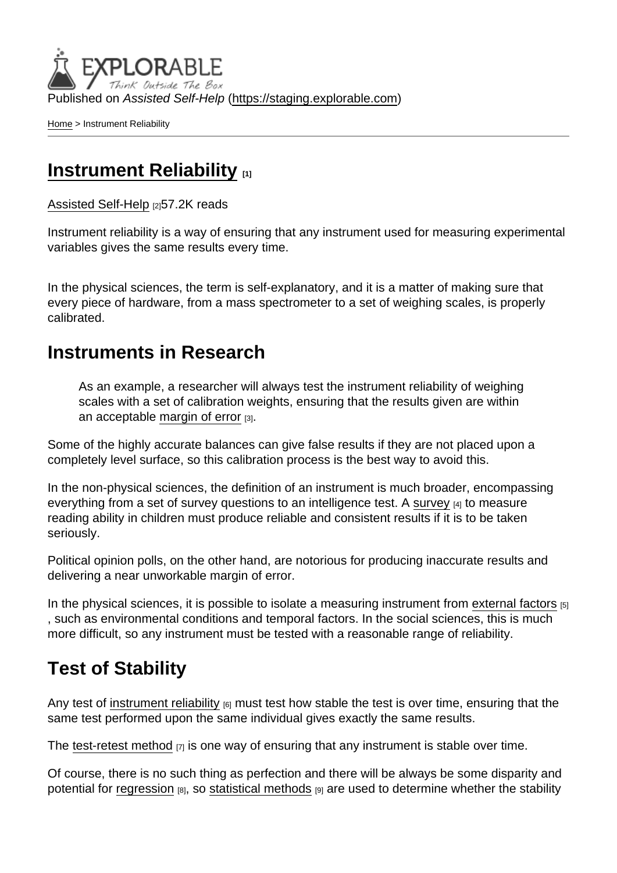Published on Assisted Self-Help [\(https://staging.explorable.com](https://staging.explorable.com))

[Home](https://staging.explorable.com/en) > Instrument Reliability

### **[Instrument Reliability](https://staging.explorable.com/en/instrument-reliability)**

[Assisted Self-Help](https://staging.explorable.com/en) [2]57.2K reads

Instrument reliability is a way of ensuring that any instrument used for measuring experimental variables gives the same results every time.

In the physical sciences, the term is self-explanatory, and it is a matter of making sure that every piece of hardware, from a mass spectrometer to a set of weighing scales, is properly calibrated.

#### Instruments in Research

As an example, a researcher will always test the instrument reliability of weighing scales with a set of calibration weights, ensuring that the results given are within an acceptable [margin of error](https://staging.explorable.com/statistics-margin-of-error) [3].

Some of the highly accurate balances can give false results if they are not placed upon a completely level surface, so this calibration process is the best way to avoid this.

In the non-physical sciences, the definition of an instrument is much broader, encompassing everything from a set of [survey](https://staging.explorable.com/survey-research-design) questions to an intelligence test. A survey [4] to measure reading ability in children must produce reliable and consistent results if it is to be taken seriously.

Political opinion polls, on the other hand, are notorious for producing inaccurate results and delivering a near unworkable margin of error.

In the physical sciences, it is possible to isolate a measuring instrument from [external factors](https://staging.explorable.com/confounding-variables) [5] , such as environmental conditions and temporal factors. In the social sciences, this is much more difficult, so any instrument must be tested with a reasonable range of reliability.

## Test of Stability

Any test of [instrument reliability](http://www.gifted.uconn.edu/Siegle/research/Instrument Reliability and Validity/Reliability.htm)  $_{[6]}$  must test how stable the test is over time, ensuring that the same test performed upon the same individual gives exactly the same results.

The [test-retest method](https://staging.explorable.com/test-retest-reliability) [7] is one way of ensuring that any instrument is stable over time.

Of course, there is no such thing as perfection and there will be always be some disparity and potential for [regression](https://staging.explorable.com/linear-regression-analysis) [8], so [statistical methods](https://staging.explorable.com/statistics-tutorial) [9] are used to determine whether the stability